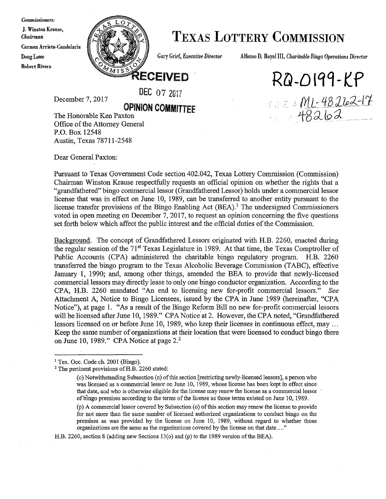#### *Commissioners:*

J. Winston Krause, Carmen Arrieta-Candelaria Robert Rivera



### *Cliairuwn* **TEXAS LOTTERY COMMISSION**

Doug Lowe **Gary Grief,** *Executive Director* Alfonso D. Royal III, *Charitable Bingo Operations Director* 

*RG-D* **1q9-t P** 

222 ML-48262-17

**RECEIVED** 

December 7, 2017

### OPINION **COMMITTEE**

DEC 07 *2017* 

The Honorable Ken Paxton Office of the Attorney General P.O. Box 12548 Austin, Texas 78711-2548

Dear General Paxton:

Pursuant to Texas Government Code section 402.042, Texas Lottery Commission (Commission) Chairman Winston Krause respectfully requests an official opinion on whether the rights that a "grandfathered" bingo commercial lessor (Grandfathered Lessor) holds under a commercial lessor license that was in effect on June 10, 1989, can be transferred to another entity pursuant to the license transfer provisions of the Bingo Enabling Act  $(BEA)$ .<sup>1</sup> The undersigned Commissioners voted in open meeting on December 7, 2017, to request an opinion concerning the five questions set forth below which affect the public interest and the official duties of the Commission.

Background. The concept of Grandfathered Lessors originated with H.B. 2260, enacted during the regular session of the  $71<sup>st</sup>$  Texas Legislature in 1989. At that time, the Texas Comptroller of Public Accounts (CPA) administered the charitable bingo regulatory program. H.B. 2260 transferred the bingo program to the Texas Alcoholic Beverage Commission (TABC), effective January 1, 1990; and, among other things, amended the BEA to provide that newly-licensed commercial lessors may directly lease to only one bingo conductor organization. According to the CPA, H.B. 2260 mandated "An end to licensing new for-profit commercial lessors." *See*  Attachment A, Notice to Bingo Licensees, issued by the CPA in June 1989 (hereinafter, "CPA Notice"), at page 1. "As a result of the Bingo Reform Bill no new for-profit commercial lessors will be licensed after June 10, 1989." CPA Notice at 2. However, the CPA noted, "Grandfathered lessors licensed on or before June 10, 1989, who keep their licenses in continuous effect, may . ,. Keep the same number of organizations at their location that were licensed to conduct bingo there on June 10, 1989." CPA Notice at page  $2<sup>2</sup>$ 

H.B. 2260, section 8 (adding new Sections 13(0) and (p) to the 1989 version of the BEA).

<sup>&</sup>lt;sup>1</sup> Tex. Occ. Code ch. 2001 (Bingo).

<sup>&</sup>lt;sup>2</sup> The pertinent provisions of H.B. 2260 stated:

<sup>(</sup>o) Notwithstanding Subsection (n) of this section [restricting newly-licensed lessors], a person who was licensed as a commercial lessor on June 10, 1989, whose license has been kept in effect since that date, and who is otherwise eligible for the license may renew the license as a commercial lessor · of bingo premises according to the terms of the license as those terms existed on June 10, 1989.

<sup>(</sup>p) A commercial lessor covered by Subsection (o) of this section may renew the license to provide for not more than the same number of licensed authorized organizations to conduct bingo on the premises as was provided by the license on June 10, 1989, without regard to whether those organizations are the same as the organizations covered by the license on that date .... "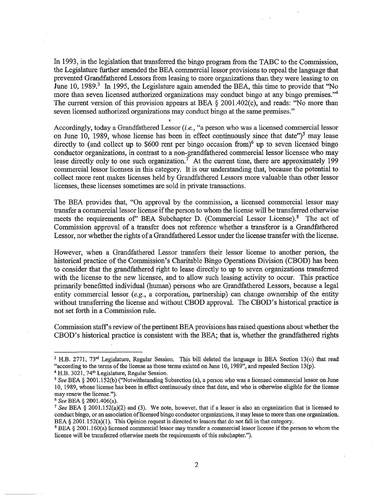In 1993, in the legislation that transferred the bingo program from the TABC to the Commission, the Legislature further amended the BEA commercial lessor provisions to repeal the language that prevented Grandfathered Lessors from leasing to more organizations than they were leasing to on June 10, 1989. $3$  In 1995, the Legislature again amended the BEA, this time to provide that ''No more than seven licensed authorized organizations may conduct bingo at any bingo premises."<sup>4</sup> The current version of this provision appears at BEA § 2001.402(c), and reads: "No more than seven licensed authorized organizations may conduct bingo at the same premises."

Accordingly, today a Grandfathered Lessor *(i.e.,* "a person who was a licensed commercial lessor on June 10, 1989, whose license has been in effect continuously since that date")<sup>5</sup> may lease directly to (and collect up to \$600 rent per bingo occasion from)<sup>6</sup> up to seven licensed bingo conductor organizations, in contrast to a non-grandfathered commercial lessor licensee who may lease directly only to one such organization.<sup>7</sup> At the current time, there are approximately 199 commercial lessor licenses in this category. It is our understanding that, because the potential to collect more rent makes licenses held by Grandfathered Lessors more valuable than other lessor licenses, these licenses sometimes are sold in private transactions.

The BEA provides that, "On approval by the commission, a licensed commercial lessor may transfer a commercial lessor license if the person to whom the license will be transferred otherwise meets the requirements of" BEA Subchapter D. (Commercial Lessor License).<sup>8</sup> The act of Commission approval of a transfer does not reference whether a transferor is a Grandfathered Lessor, nor whether the rights of a Grandfathered Lessor under the license transfer with the license.

However, when a Grandfathered Lessor transfers their lessor license to another person, the historical practice of the Commission's Charitable Bingo Operations Division (CBOD) has been to consider that the grandfathered right to lease directly to up to seven organizations transferred with the license to the new licensee, and to allow such leasing activity to occur. This practice primarily benefitted indjvidual (human) persons who are Grandfathered Lessors, because a legal entity commercial lessor *(e.g.,* a corporation, partnership) can change ownership of the entity without transferring the license and without CBOD approval. The CBOD's historical practice is not set forth in a Commission rule.

Commission staff's review of the pertinent BEA provisions has raised questions about whether the CBOD's historical practice is consistent with the BEA; that is, whether the grandfathered rights

<sup>&</sup>lt;sup>3</sup> H.B. 2771, 73<sup>rd</sup> Legislature, Regular Session. This bill deleted the language in BEA Section 13(0) that read "according to the terms of the license as those terms existed on June 10, 1989", and repealed Section 13(p).

<sup>&</sup>lt;sup>4</sup> H.B. 3021, 74<sup>th</sup> Legislature, Regular Session.

<sup>5</sup>*See* BEA§ 2001.152(b) ("Notwithstanding Subsection (a), a person who was a licensed commercial lessor on June 10, 1989, whose license has been in effect continuously since that date, and who is otherwise eligible for the license may renew the license.").

<sup>6</sup>*See* BEA§ 2001.406(a).

*<sup>1</sup> See* BEA § 2001.152(a)(2) and (3). We note, however, that if a lessor is also an organization that is licensed to conduct bingo, or an association of licensed bingo conductor organizations, it may lease to more than one organization. BEA § 2001.152(a)(1). This Opinion request is directed to lessors that do not fall in that category.

<sup>&</sup>lt;sup>8</sup> BEA § 2001.160(a) licensed commercial lessor may transfer a commercial lessor license if the person to whom the license will be transferred otherwise meets the requirements of this subchapter.").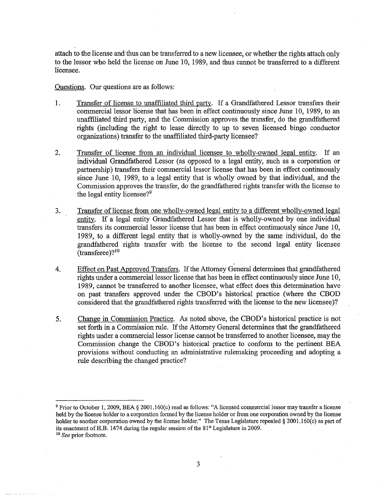attach to the license and thus can be transferred to a new licensee, or whether the rights attach only to the lessor who held the license on June 10, 1989, and thus cannot be transferred to a different licensee.

#### Questions. Our questions are as follows:

- 1. Transfer of license to unaffiliated third party. If a Grandfathered Lessor transfers their commercial lessor license that has been in effect continuously since June 10, 1989, to an unaffiliated third party, and the Commission approves the transfer, do the grandfathered rights (including the right to lease directly to up to seven licensed bingo conductor organizations) transfer to the unaffiliated third-party licensee?
- 2. Transfer of license from an individual licensee to wholly-owned legal entity. If an individual Grandfathered Lessor (as opposed to a legal entity, such as a corporation or partnership) transfers their commercial lessor license that has been in effect continuously since June 10, 1989, to a legal entity that is wholly owned by that individual, and the Commission approves the transfer, do the grandfathered rights transfer with the license to the legal entity licensee?<sup>9</sup>
- 3. Transfer of license from one wholly-owned legal entity to a different wholly-owned legal entity. If a legal entity Grandfathered Lessor that is wholly-owned by one individual transfers its commercial lessor license that has been in effect continuously since June 10, 1989, to a different legal entity that is wholly-owned by the same individual, do the grandfathered rights transfer with the license to the second legal entity licensee  $(transference)$ ?<sup>10</sup>
- 4. Effect on Past Approved Transfers. If the Attorney General determines that grandfathered rights under a commercial lessor license that has been in effect continuously since June 10, 1989, cannot be transferred to another licensee, what effect does this determination have on past transfers approved under the CBOD's historical practice (where the CBOD considered that the grandfathered rights transferred with the license to the new licensee)?
- 5. Change in Commission Practice. As noted above, the CBOD's historical practice is not set forth in a Commission rule. If the Attorney General determines that the grandfathered rights under a commercial lessor license cannot be transferred to another licensee, may the Commission change the CBOD's historical practice to conform to the pertinent BEA provisions without conducting an administrative rulemaking proceeding and adopting a rule describing the changed practice?

<sup>9</sup>Prior to October I, 2009, BEA§ 2001.160(c) read as follows: "A licensed commercial lessor may transfer a license held by the license holder to a corporation fanned by the license holder or from one corporation owned by the license holder to another corporation owned by the license holder." The Texas Legislature repealed § 2001.160(c) as part of its enactment of H.B. 1474 during the regular session of the 81<sup>st</sup> Legislature in 2009.<br><sup>10</sup> *See* prior footnote.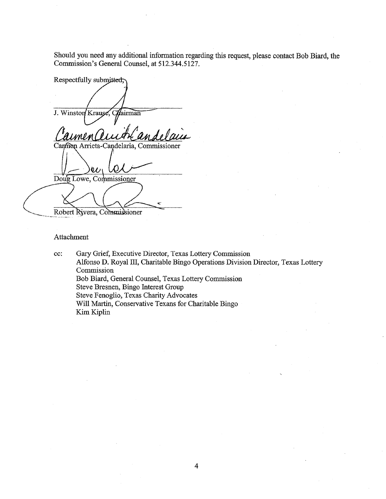Should you need any additional information regarding this request, please contact Bob Biard, the Commission's General Counsel, at 512.344.5127.

Respectfully submitted; J. Winston Krause Chairman Carmen Arrieta-Candelaria, Commissioner  $\mathcal{U}$ Doug Lowe, Commissioner

Robert Rivera, Commissioner

#### Attachment

cc: Gary Grief, Executive Director, Texas Lottery Commission Alfonso D. Royal III, Charitable Bingo Operations Division Director, Texas Lottery Commission Bob Biard, General Counsel, Texas Lottery Commission Steve Bresnen, Bingo Interest Group Steve Fenoglio, Texas Charity Advocates Will Martin, Conservative Texans for Charitable Bingo Kim Kiplin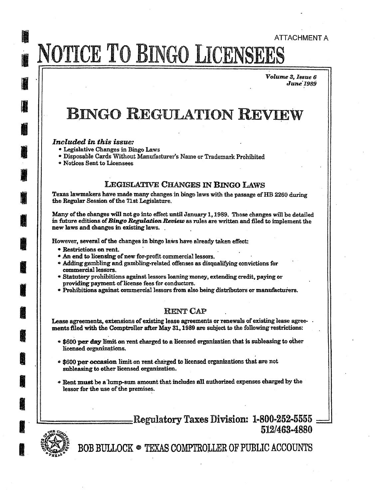## **IN** ATTACHMENT A 1 NOTICE TO BINGO LICENSEES

 $Volume 3, I$ 85ue 6 *June'l989* 

### **BINGO REGULATION REVIEW**

#### *Included in this issue:*

I

I

I

**II** 

**I** 

I

**I** 

**In the contract of the contract of the contract of the contract of the contract of the contract of the contract of the contract of the contract of the contract of the contract of the contract of the contract of the contra** 

I

I

前<br>脚

**in** 

**ij** 

**ij** 

**in a compart** 

**I** 

**I** 

- Legislative Changes in Bingo Laws
- Disposable Cards Without Manufacturer's Name or Trademark Prohibited
- Notices Sent to Licensees

#### LEGISLATIVE CHANGES IN BINGO LAWS

Texas lawmakers have made many changes in bingo laws with the passage of HB 2260 during the Regular Session of the 71st Legislature.

Many of the changes will not go into effect until January 1, 1989. Those changes will be detailed in future editions of *Bingo Regulation Review* as rules are written and filed to implement the new laws **and** changes in existing laws. .

However, several of the changes in bingo laws have already taken effect:

- Restrictions on rent.
- An end to licensing of new for-profit commercial lessors.
- Adding gambling and gambling-related offenses as disqualifying convictions for commercial lessors.
- Statutory prohibitions against lessors loaning money, extending credit, paying or providing payment of license fees for conductors.
- Prohibitions against commercial lessors from also being distributors or manufacturers.

#### RENT CAP

Lease agreements, extensions of existing lease agreements or renewals of existing lease agreements filed with the Comptroller after May 31, 1989 are subject to the following restrictions:

- \$600 per day limit on rent charged to a licensed organization that is subleasing to other licensed organizations.
- o \$600 **per occasion** limit on rent charged to licensed organizations that are not subleasing to other licensed organization.
- Rent must be a·lump-sum amount that includes **all** authorized expenses charged by the lessor for the use of the premises.

Regulatory Taxes Division: 1-800-252-5555.<br>512/463-4880



BOB BULLOCK • TEXAS COMPTROLLER OF PUBLIC ACCOUNTS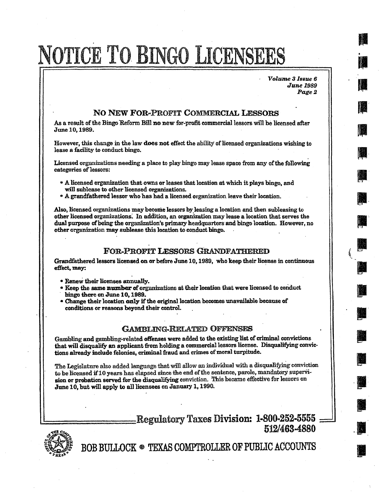# NOTICE TO BINGO LICENSEES

 $Volume 3$  *Issue 6 Junel989 Page2*  **III** .

**IN** 

**IN** , ...<br>, ...<br>, ...

I

I·

**III** 

**III** ,.

' II **I** 

' , ...<br>' , ...<br>' , ... , ... , ... , ... , ... , ... , ... , ... , ... , ... , ... , ... , ... , ... , ... , ... , ...

**III** 

**III** 

·II

I

.I

I

#### NO NEW FOR-PROFIT COMMERCIAL LESSORS

*As* a result of the Bingo Reform Bill no new for-profit commercial lessors will be licensed after June 10, 1989.

However, this change in the law **does not** effect the ability of licensed organizations wishing to lease a facility to conduct bingo.

Licensed organizations needing a place to play bingo may lease space from any of the following categories of lessors:

- A licensed organization that owns or leases that location at which it plays bingo, and will sublease to other licensed organizations.
- A grandfathered lessor who has had a licensed organization leave their location.

Also, licensed organizations may become lessors by leasing a location and then subleasing to other licensed organizations: In addition, an organization may lease a location that serves the dual purpose of being the organization's primary headquarters and bingo location. However, no **other** organization may sublease this location to conduct bingo.

#### FOR-PROFIT LESSORS GRANDFATHERED

Grandfathered lessors licensed on or before June 10, 1989, who keep their license in continuous effect, **may:** ·

- Renew their licenses annually.
- Keep the same number of organizations at their location that were licensed to conduct bingo there on June 10, 1989.
- Change their location only if the original location becomes unavailable because of conditions or reasons beyond their control.

#### GAMBLING-RELATED OFFENSES

Gambling and gambling-related offenses were added to the existing list of criminal convictions that will disqualify an applicant from holding a commercial lessors license. Disqualifying convictions already include felonies, criminal fraud and crimes of moral turpitude.

The Legislature also added language that will allow an individual with a disqualifying conviction to be licensed if 10 years has elapsed since the end of the sentence, parole, mandatory supervision or probation served for the disqualifying conviction. This became effective for lessors on June 10, but will apply to all licensees on January 1, 1990.

> Regulatory Taxes Division: 1-800-252-5555 -,i1\& *c~* **512/463-4880**



~ BOB BUI.LOCK e TEXAS COMPTROLLER OF PUBIJC ACCOUNTS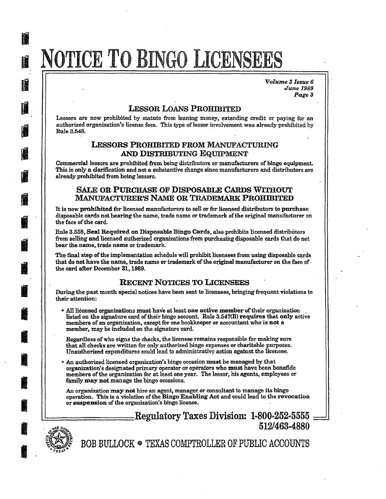# NOTICE TO BINGO LICENSEES

*Volume 3 Issue 6 June1989 Page3* 

#### LESSOR LOANS PROHIBITED

Lessors are now prohibited by statute from loaning money, extending credit or paying for an authorized organization's license fees. This type of lessor involvement was already prohibited by Rule3.548.

#### LESSORS PROHIBITED FROM MANUFACTURING AND DISTRIBUTING EQUIPMENT

Commercial lessors are prohibited from being distributors or manufacturers of bingo equipment. This is only a clarification and not a substantive change since manufacturers and distributors are already prohibited from being lessors.

#### SALE OR PURCHASE OF DISPOSABLE CARDS WITHOUT MANUFACTURER'S NAME OR TRADEMARK PROHIBITED

It is now prohibited for licensed manufacturers to sell or for licensed distributors to purchase disposable cards not bearing the name, trade name or trademark of the original manufacturer on the face of the card.

Rule 3.558, Seal Required on Disposable Bingo Cards, also prohibits licensed distributors from selling and licensed authorized organizations from purchasing disposable cards that do not bear the name, trade name or trademark.

The final step of the implementation schedule will prohibit licensees from using disposable cards that do not have the name, trade name or trademark of the original manufacturer on the face of the card after December 31, 1989.

#### RECENT NOTICES TO LICENSEES

During the past month special notices have been sent to licensees, bringing frequent violations to their attention:

• All licensed organizations must have at least one active member of their organization . It is discussed on the signature card of their bingo account. Rule  $3.547(B)$  requires that only active members of an organization, except for one bookkeeper or accountant who is **not** a member, may be included on the signature card.

Regardless of who signs the checks, the licensee remains responsible for making sure that all checks are written for only authorized bingo expenses or charitable purposes. Unauthorized expenditures could lead to administrative action against the licensee.

0 An authorized licensed organization's bingo occasion must be managed by that organization's designated primary operator or operators who must have been bonafide members of the organization for at least one year. The lessor, his agents, employees or family **may not** manage the bingo occasions.

An organization may not hire an agent, manager or consultant to manage its bingo operation. This is a violation of the Bingo Enabling Act and could lead to the revocation or **suspension** of the organization's bingo license. ,

#### -Regulatory Taxes Division: 1-800-252-5555 512/463-4880



I

**II** 

D

I

I

**I** 

1

**II** 

**in** 

**INGLES** 

I

I

**ISSUED** 

**INSTEAD OF REAL PROPERTY.** 

**il** 

BOB BULLOCK @ TEXAS COMPTROLLER OF PUBLIC ACCOUNTS